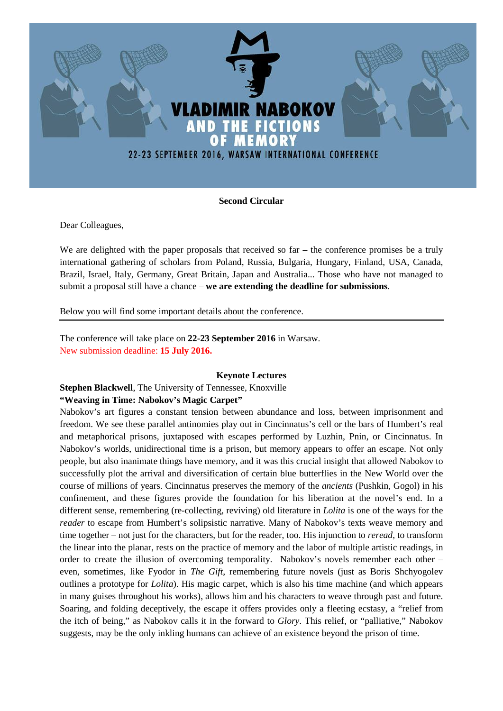

## **Second Circular**

Dear Colleagues,

We are delighted with the paper proposals that received so far – the conference promises be a truly international gathering of scholars from Poland, Russia, Bulgaria, Hungary, Finland, USA, Canada, Brazil, Israel, Italy, Germany, Great Britain, Japan and Australia... Those who have not managed to submit a proposal still have a chance – **we are extending the deadline for submissions**.

Below you will find some important details about the conference.

The conference will take place on **22-23 September 2016** in Warsaw. New submission deadline: **15 July 2016.**

### **Keynote Lectures**

**Stephen Blackwell**, The University of Tennessee, Knoxville

### **"Weaving in Time: Nabokov's Magic Carpet"**

Nabokov's art figures a constant tension between abundance and loss, between imprisonment and freedom. We see these parallel antinomies play out in Cincinnatus's cell or the bars of Humbert's real and metaphorical prisons, juxtaposed with escapes performed by Luzhin, Pnin, or Cincinnatus. In Nabokov's worlds, unidirectional time is a prison, but memory appears to offer an escape. Not only people, but also inanimate things have memory, and it was this crucial insight that allowed Nabokov to successfully plot the arrival and diversification of certain blue butterflies in the New World over the course of millions of years. Cincinnatus preserves the memory of the *ancients* (Pushkin, Gogol) in his confinement, and these figures provide the foundation for his liberation at the novel's end. In a different sense, remembering (re-collecting, reviving) old literature in *Lolita* is one of the ways for the *reader* to escape from Humbert's solipsistic narrative. Many of Nabokov's texts weave memory and time together – not just for the characters, but for the reader, too. His injunction to *reread*, to transform the linear into the planar, rests on the practice of memory and the labor of multiple artistic readings, in order to create the illusion of overcoming temporality. Nabokov's novels remember each other – even, sometimes, like Fyodor in *The Gift*, remembering future novels (just as Boris Shchyogolev outlines a prototype for *Lolita*). His magic carpet, which is also his time machine (and which appears in many guises throughout his works), allows him and his characters to weave through past and future. Soaring, and folding deceptively, the escape it offers provides only a fleeting ecstasy, a "relief from the itch of being," as Nabokov calls it in the forward to *Glory*. This relief, or "palliative," Nabokov suggests, may be the only inkling humans can achieve of an existence beyond the prison of time.